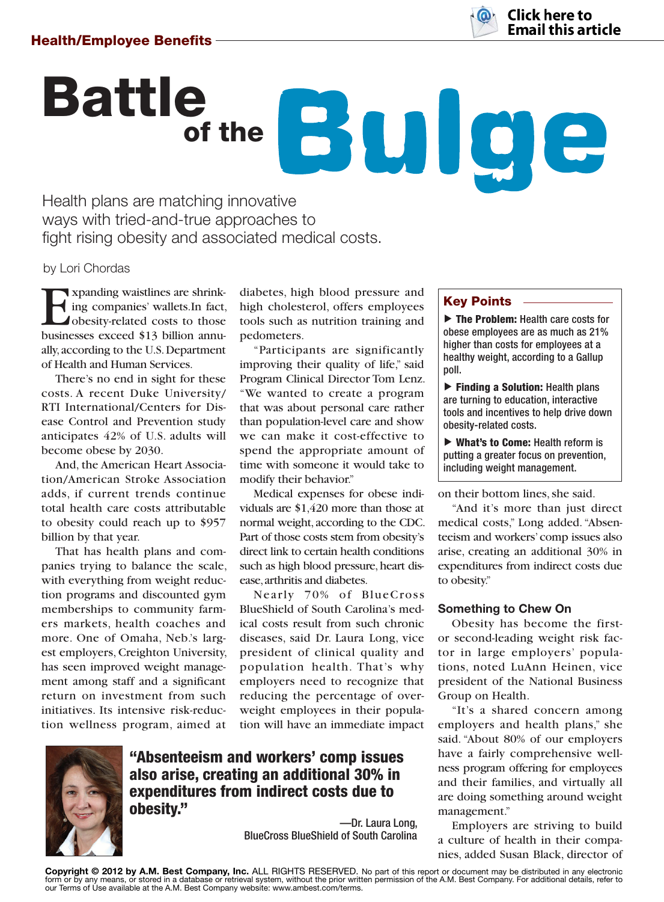

# Battle of the **Bulge**

Health plans are matching innovative ways with tried-and-true approaches to fight rising obesity and associated medical costs.

by Lori Chordas

Expanding waistlines are shrink-<br>ing companies' wallets.In fact,<br>obesity-related costs to those<br>businesses exceed \$13 billion annuing companies' wallets.In fact, obesity-related costs to those businesses exceed \$13 billion annually, according to the U.S. Department of Health and Human Services.

There's no end in sight for these costs. A recent Duke University/ RTI International/Centers for Disease Control and Prevention study anticipates 42% of U.S. adults will become obese by 2030.

And, the American Heart Association/American Stroke Association adds, if current trends continue total health care costs attributable to obesity could reach up to \$957 billion by that year.

That has health plans and companies trying to balance the scale, with everything from weight reduction programs and discounted gym memberships to community farmers markets, health coaches and more. One of Omaha, Neb.'s largest employers, Creighton University, has seen improved weight management among staff and a significant return on investment from such initiatives. Its intensive risk-reduction wellness program, aimed at

diabetes, high blood pressure and high cholesterol, offers employees tools such as nutrition training and pedometers.

"Participants are significantly improving their quality of life," said Program Clinical Director Tom Lenz. "We wanted to create a program that was about personal care rather than population-level care and show we can make it cost-effective to spend the appropriate amount of time with someone it would take to modify their behavior."

Medical expenses for obese individuals are  $$1,420$  more than those at normal weight, according to the CDC. Part of those costs stem from obesity's direct link to certain health conditions such as high blood pressure, heart disease, arthritis and diabetes.

Nearly 70% of BlueCross BlueShield of South Carolina's medical costs result from such chronic diseases, said Dr. Laura Long, vice president of clinical quality and population health. That's why employers need to recognize that reducing the percentage of overweight employees in their population will have an immediate impact



## **"Absenteeism and workers' comp issues also arise, creating an additional 30% in expenditures from indirect costs due to obesity."**

—Dr. Laura Long, BlueCross BlueShield of South Carolina

# **Key Points**

▼ **The Problem:** Health care costs for obese employees are as much as 21% higher than costs for employees at a healthy weight, according to a Gallup poll.

▶ Finding a Solution: Health plans are turning to education, interactive tools and incentives to help drive down obesity-related costs.

▶ What's to Come: Health reform is putting a greater focus on prevention, including weight management.

on their bottom lines, she said.

"And it's more than just direct medical costs," Long added. "Absenteeism and workers' comp issues also arise, creating an additional 30% in expenditures from indirect costs due to obesity."

### **Something to Chew On**

Obesity has become the firstor second-leading weight risk factor in large employers' populations, noted LuAnn Heinen, vice president of the National Business Group on Health.

"It's a shared concern among employers and health plans," she said. "About 80% of our employers have a fairly comprehensive wellness program offering for employees and their families, and virtually all are doing something around weight management."

Employers are striving to build a culture of health in their companies, added Susan Black, director of

**Copyright © 2012 by A.M. Best Company, Inc.** ALL RIGHTS RESERVED. No part of this report or document may be distributed in any electronic form or by any means, or stored in a database or retrieval system, without the prior written permission of the A.M. Best Company. For additional details, refer to<br>our Terms of Use available at the A.M. Best Company website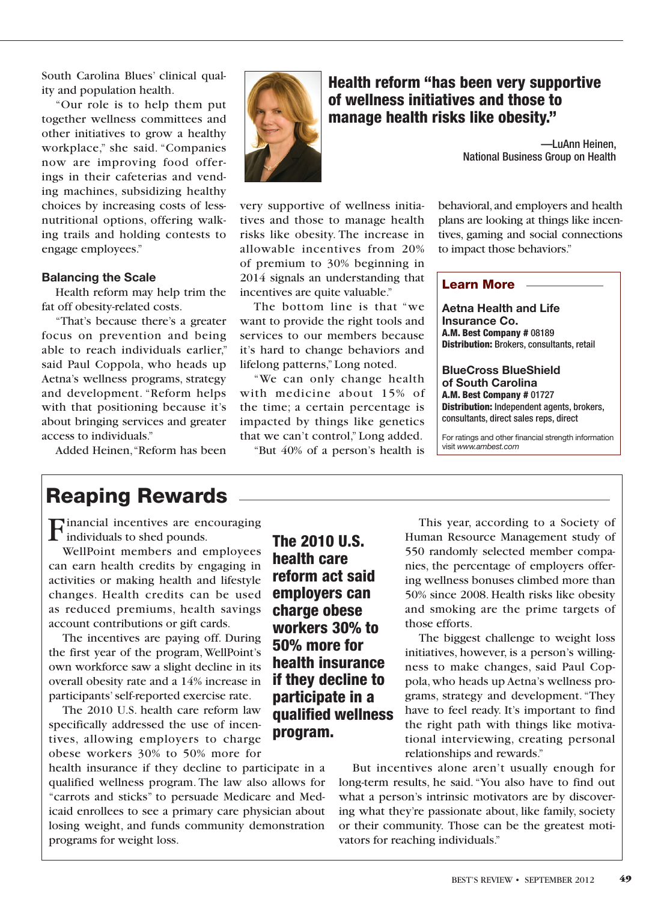South Carolina Blues' clinical quality and population health.

"Our role is to help them put together wellness committees and other initiatives to grow a healthy workplace," she said. "Companies now are improving food offerings in their cafeterias and vending machines, subsidizing healthy choices by increasing costs of lessnutritional options, offering walking trails and holding contests to engage employees."

#### **Balancing the Scale**

Health reform may help trim the fat off obesity-related costs.

"That's because there's a greater focus on prevention and being able to reach individuals earlier," said Paul Coppola, who heads up Aetna's wellness programs, strategy and development. "Reform helps with that positioning because it's about bringing services and greater access to individuals."

Added Heinen, "Reform has been



## **Health reform "has been very supportive of wellness initiatives and those to manage health risks like obesity."**

—LuAnn Heinen, National Business Group on Health

very supportive of wellness initiatives and those to manage health risks like obesity. The increase in allowable incentives from 20% of premium to 30% beginning in 2014 signals an understanding that incentives are quite valuable."

The bottom line is that "we want to provide the right tools and services to our members because it's hard to change behaviors and lifelong patterns," Long noted.

"We can only change health with medicine about 15% of the time; a certain percentage is impacted by things like genetics that we can't control," Long added.

"But  $40\%$  of a person's health is

behavioral, and employers and health plans are looking at things like incentives, gaming and social connections to impact those behaviors."

#### **Learn More**

**Aetna Health and Life Insurance Co. A.M. Best Company #** 08189 **Distribution:** Brokers, consultants, retail

**BlueCross BlueShield of South Carolina A.M. Best Company #** 01727 **Distribution:** Independent agents, brokers, consultants, direct sales reps, direct

For ratings and other financial strength information visit *www.ambest.com*

# **Reaping Rewards**

Financial incentives are encouraging individuals to shed pounds.

WellPoint members and employees can earn health credits by engaging in activities or making health and lifestyle changes. Health credits can be used as reduced premiums, health savings account contributions or gift cards.

The incentives are paying off. During the first year of the program, WellPoint's own workforce saw a slight decline in its overall obesity rate and a 14% increase in participants' self-reported exercise rate.

The 2010 U.S. health care reform law specifically addressed the use of incentives, allowing employers to charge obese workers 30% to 50% more for

health insurance if they decline to participate in a qualified wellness program. The law also allows for "carrots and sticks" to persuade Medicare and Medicaid enrollees to see a primary care physician about losing weight, and funds community demonstration programs for weight loss.

**The 2010 U.S. health care reform act said employers can charge obese workers 30% to 50% more for health insurance if they decline to participate in a qualified wellness program.**

This year, according to a Society of Human Resource Management study of 550 randomly selected member companies, the percentage of employers offering wellness bonuses climbed more than 50% since 2008. Health risks like obesity and smoking are the prime targets of those efforts.

The biggest challenge to weight loss initiatives, however, is a person's willingness to make changes, said Paul Coppola, who heads up Aetna's wellness programs, strategy and development. "They have to feel ready. It's important to find the right path with things like motivational interviewing, creating personal relationships and rewards."

But incentives alone aren't usually enough for long-term results, he said. "You also have to find out what a person's intrinsic motivators are by discovering what they're passionate about, like family, society or their community. Those can be the greatest motivators for reaching individuals."